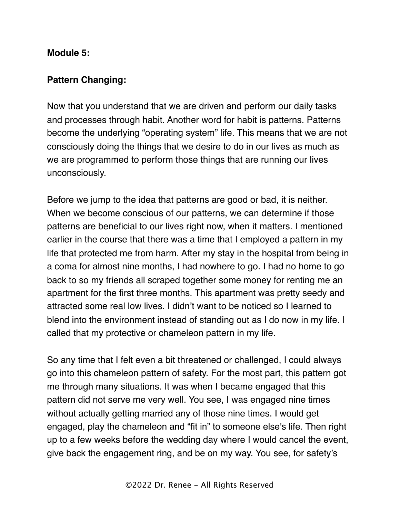## **Module 5:**

## **Pattern Changing:**

Now that you understand that we are driven and perform our daily tasks and processes through habit. Another word for habit is patterns. Patterns become the underlying "operating system" life. This means that we are not consciously doing the things that we desire to do in our lives as much as we are programmed to perform those things that are running our lives unconsciously.

Before we jump to the idea that patterns are good or bad, it is neither. When we become conscious of our patterns, we can determine if those patterns are beneficial to our lives right now, when it matters. I mentioned earlier in the course that there was a time that I employed a pattern in my life that protected me from harm. After my stay in the hospital from being in a coma for almost nine months, I had nowhere to go. I had no home to go back to so my friends all scraped together some money for renting me an apartment for the first three months. This apartment was pretty seedy and attracted some real low lives. I didn't want to be noticed so I learned to blend into the environment instead of standing out as I do now in my life. I called that my protective or chameleon pattern in my life.

So any time that I felt even a bit threatened or challenged, I could always go into this chameleon pattern of safety. For the most part, this pattern got me through many situations. It was when I became engaged that this pattern did not serve me very well. You see, I was engaged nine times without actually getting married any of those nine times. I would get engaged, play the chameleon and "fit in" to someone else's life. Then right up to a few weeks before the wedding day where I would cancel the event, give back the engagement ring, and be on my way. You see, for safety's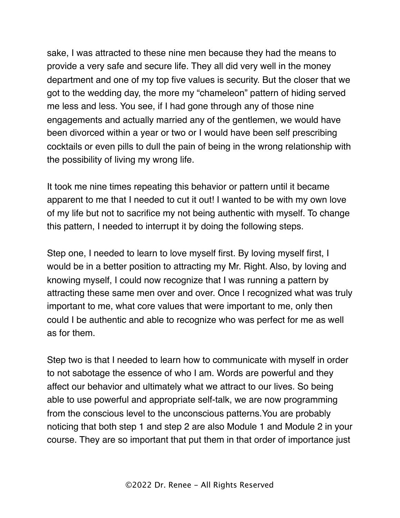sake, I was attracted to these nine men because they had the means to provide a very safe and secure life. They all did very well in the money department and one of my top five values is security. But the closer that we got to the wedding day, the more my "chameleon" pattern of hiding served me less and less. You see, if I had gone through any of those nine engagements and actually married any of the gentlemen, we would have been divorced within a year or two or I would have been self prescribing cocktails or even pills to dull the pain of being in the wrong relationship with the possibility of living my wrong life.

It took me nine times repeating this behavior or pattern until it became apparent to me that I needed to cut it out! I wanted to be with my own love of my life but not to sacrifice my not being authentic with myself. To change this pattern, I needed to interrupt it by doing the following steps.

Step one, I needed to learn to love myself first. By loving myself first, I would be in a better position to attracting my Mr. Right. Also, by loving and knowing myself, I could now recognize that I was running a pattern by attracting these same men over and over. Once I recognized what was truly important to me, what core values that were important to me, only then could I be authentic and able to recognize who was perfect for me as well as for them.

Step two is that I needed to learn how to communicate with myself in order to not sabotage the essence of who I am. Words are powerful and they affect our behavior and ultimately what we attract to our lives. So being able to use powerful and appropriate self-talk, we are now programming from the conscious level to the unconscious patterns.You are probably noticing that both step 1 and step 2 are also Module 1 and Module 2 in your course. They are so important that put them in that order of importance just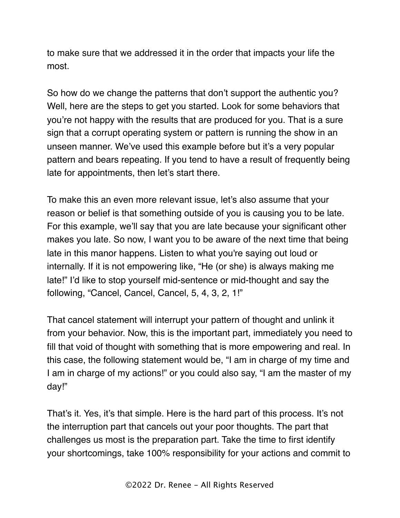to make sure that we addressed it in the order that impacts your life the most.

So how do we change the patterns that don't support the authentic you? Well, here are the steps to get you started. Look for some behaviors that you're not happy with the results that are produced for you. That is a sure sign that a corrupt operating system or pattern is running the show in an unseen manner. We've used this example before but it's a very popular pattern and bears repeating. If you tend to have a result of frequently being late for appointments, then let's start there.

To make this an even more relevant issue, let's also assume that your reason or belief is that something outside of you is causing you to be late. For this example, we'll say that you are late because your significant other makes you late. So now, I want you to be aware of the next time that being late in this manor happens. Listen to what you're saying out loud or internally. If it is not empowering like, "He (or she) is always making me late!" I'd like to stop yourself mid-sentence or mid-thought and say the following, "Cancel, Cancel, Cancel, 5, 4, 3, 2, 1!"

That cancel statement will interrupt your pattern of thought and unlink it from your behavior. Now, this is the important part, immediately you need to fill that void of thought with something that is more empowering and real. In this case, the following statement would be, "I am in charge of my time and I am in charge of my actions!" or you could also say, "I am the master of my day!"

That's it. Yes, it's that simple. Here is the hard part of this process. It's not the interruption part that cancels out your poor thoughts. The part that challenges us most is the preparation part. Take the time to first identify your shortcomings, take 100% responsibility for your actions and commit to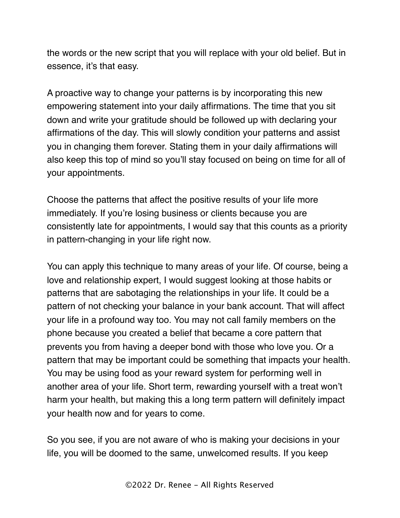the words or the new script that you will replace with your old belief. But in essence, it's that easy.

A proactive way to change your patterns is by incorporating this new empowering statement into your daily affirmations. The time that you sit down and write your gratitude should be followed up with declaring your affirmations of the day. This will slowly condition your patterns and assist you in changing them forever. Stating them in your daily affirmations will also keep this top of mind so you'll stay focused on being on time for all of your appointments.

Choose the patterns that affect the positive results of your life more immediately. If you're losing business or clients because you are consistently late for appointments, I would say that this counts as a priority in pattern-changing in your life right now.

You can apply this technique to many areas of your life. Of course, being a love and relationship expert, I would suggest looking at those habits or patterns that are sabotaging the relationships in your life. It could be a pattern of not checking your balance in your bank account. That will affect your life in a profound way too. You may not call family members on the phone because you created a belief that became a core pattern that prevents you from having a deeper bond with those who love you. Or a pattern that may be important could be something that impacts your health. You may be using food as your reward system for performing well in another area of your life. Short term, rewarding yourself with a treat won't harm your health, but making this a long term pattern will definitely impact your health now and for years to come.

So you see, if you are not aware of who is making your decisions in your life, you will be doomed to the same, unwelcomed results. If you keep